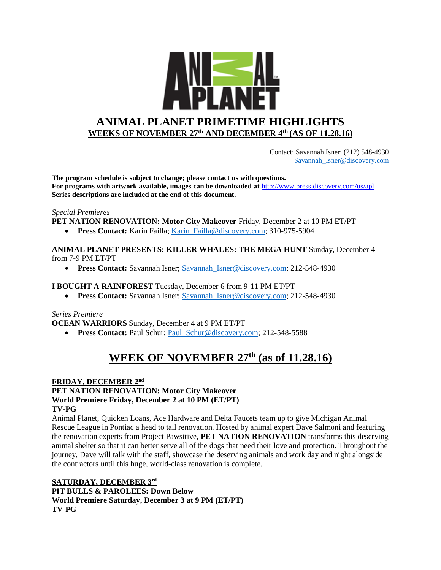

 Contact: Savannah Isner: (212) 548-4930 [Savannah\\_Isner@discovery.com](mailto:Savannah_Isner@discovery.com)

**The program schedule is subject to change; please contact us with questions. For programs with artwork available, images can be downloaded at** http://www.press.discovery.com/us/apl **Series descriptions are included at the end of this document.** 

#### *Special Premieres*

**PET NATION RENOVATION: Motor City Makeover** Friday, December 2 at 10 PM ET/PT

**Press Contact:** Karin Failla; Karin Failla@discovery.com; 310-975-5904

**ANIMAL PLANET PRESENTS: KILLER WHALES: THE MEGA HUNT** Sunday, December 4 from 7-9 PM ET/PT

**Press Contact:** Savannah Isner; Savannah Isner@discovery.com; 212-548-4930

#### **I BOUGHT A RAINFOREST** Tuesday, December 6 from 9-11 PM ET/PT

**Press Contact:** Savannah Isner; Savannah Isner@discovery.com; 212-548-4930

#### *Series Premiere*

**OCEAN WARRIORS** Sunday, December 4 at 9 PM ET/PT

• Press Contact: Paul Schur; [Paul\\_Schur@discovery.com;](mailto:Paul_Schur@discovery.com) 212-548-5588

# **WEEK OF NOVEMBER 27th (as of 11.28.16)**

#### **FRIDAY, DECEMBER 2nd PET NATION RENOVATION: Motor City Makeover World Premiere Friday, December 2 at 10 PM (ET/PT) TV-PG**

Animal Planet, Quicken Loans, Ace Hardware and Delta Faucets team up to give Michigan Animal Rescue League in Pontiac a head to tail renovation. Hosted by animal expert Dave Salmoni and featuring the renovation experts from Project Pawsitive, **PET NATION RENOVATION** transforms this deserving animal shelter so that it can better serve all of the dogs that need their love and protection. Throughout the journey, Dave will talk with the staff, showcase the deserving animals and work day and night alongside the contractors until this huge, world-class renovation is complete.

**SATURDAY, DECEMBER 3rd PIT BULLS & PAROLEES: Down Below World Premiere Saturday, December 3 at 9 PM (ET/PT) TV-PG**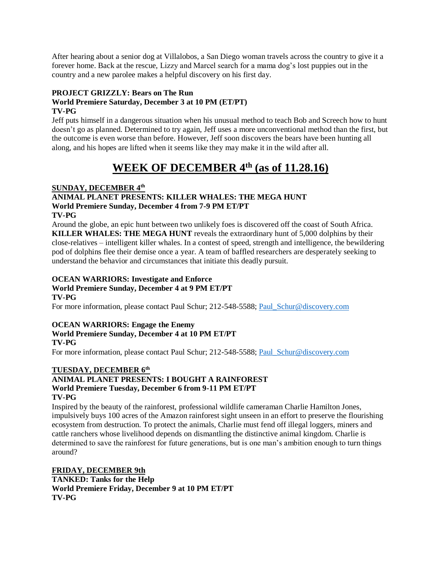After hearing about a senior dog at Villalobos, a San Diego woman travels across the country to give it a forever home. Back at the rescue, Lizzy and Marcel search for a mama dog's lost puppies out in the country and a new parolee makes a helpful discovery on his first day.

### **PROJECT GRIZZLY: Bears on The Run**

#### **World Premiere Saturday, December 3 at 10 PM (ET/PT) TV-PG**

Jeff puts himself in a dangerous situation when his unusual method to teach Bob and Screech how to hunt doesn't go as planned. Determined to try again, Jeff uses a more unconventional method than the first, but the outcome is even worse than before. However, Jeff soon discovers the bears have been hunting all along, and his hopes are lifted when it seems like they may make it in the wild after all.

# **WEEK OF DECEMBER 4th (as of 11.28.16)**

### **SUNDAY, DECEMBER 4th**

#### **ANIMAL PLANET PRESENTS: KILLER WHALES: THE MEGA HUNT World Premiere Sunday, December 4 from 7-9 PM ET/PT TV-PG**

Around the globe, an epic hunt between two unlikely foes is discovered off the coast of South Africa. **KILLER WHALES: THE MEGA HUNT** reveals the extraordinary hunt of 5,000 dolphins by their close-relatives – intelligent killer whales. In a contest of speed, strength and intelligence, the bewildering pod of dolphins flee their demise once a year. A team of baffled researchers are desperately seeking to understand the behavior and circumstances that initiate this deadly pursuit.

#### **OCEAN WARRIORS: Investigate and Enforce World Premiere Sunday, December 4 at 9 PM ET/PT TV-PG**

For more information, please contact Paul Schur; 212-548-5588; [Paul\\_Schur@discovery.com](mailto:Paul_Schur@discovery.com)

#### **OCEAN WARRIORS: Engage the Enemy World Premiere Sunday, December 4 at 10 PM ET/PT TV-PG**

For more information, please contact Paul Schur; 212-548-5588; [Paul\\_Schur@discovery.com](mailto:Paul_Schur@discovery.com)

#### **TUESDAY, DECEMBER 6th**

#### **ANIMAL PLANET PRESENTS: I BOUGHT A RAINFOREST World Premiere Tuesday, December 6 from 9-11 PM ET/PT TV-PG**

Inspired by the beauty of the rainforest, professional wildlife cameraman Charlie Hamilton Jones, impulsively buys 100 acres of the Amazon rainforest sight unseen in an effort to preserve the flourishing ecosystem from destruction. To protect the animals, Charlie must fend off illegal loggers, miners and cattle ranchers whose livelihood depends on dismantling the distinctive animal kingdom. Charlie is determined to save the rainforest for future generations, but is one man's ambition enough to turn things around?

### **FRIDAY, DECEMBER 9th**

**TANKED: Tanks for the Help World Premiere Friday, December 9 at 10 PM ET/PT TV-PG**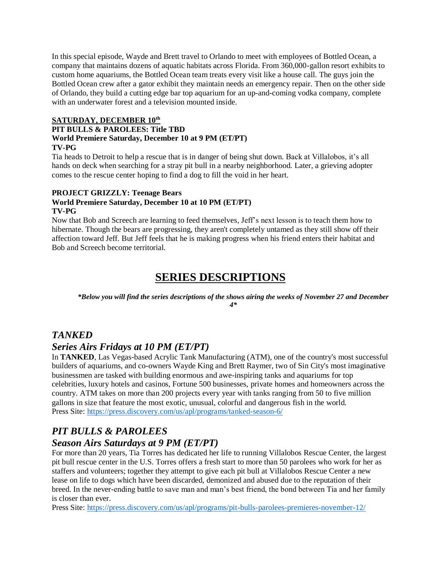In this special episode, Wayde and Brett travel to Orlando to meet with employees of Bottled Ocean, a company that maintains dozens of aquatic habitats across Florida. From 360,000-gallon resort exhibits to custom home aquariums, the Bottled Ocean team treats every visit like a house call. The guys join the Bottled Ocean crew after a gator exhibit they maintain needs an emergency repair. Then on the other side of Orlando, they build a cutting edge bar top aquarium for an up-and-coming vodka company, complete with an underwater forest and a television mounted inside.

#### **SATURDAY, DECEMBER 10th PIT BULLS & PAROLEES: Title TBD World Premiere Saturday, December 10 at 9 PM (ET/PT) TV-PG**

Tia heads to Detroit to help a rescue that is in danger of being shut down. Back at Villalobos, it's all hands on deck when searching for a stray pit bull in a nearby neighborhood. Later, a grieving adopter comes to the rescue center hoping to find a dog to fill the void in her heart.

### **PROJECT GRIZZLY: Teenage Bears**

#### **World Premiere Saturday, December 10 at 10 PM (ET/PT) TV-PG**

Now that Bob and Screech are learning to feed themselves, Jeff's next lesson is to teach them how to hibernate. Though the bears are progressing, they aren't completely untamed as they still show off their affection toward Jeff. But Jeff feels that he is making progress when his friend enters their habitat and Bob and Screech become territorial.

# **SERIES DESCRIPTIONS**

*\*Below you will find the series descriptions of the shows airing the weeks of November 27 and December 4\**

## *TANKED*

## *Series Airs Fridays at 10 PM (ET/PT)*

In **TANKED**, Las Vegas-based Acrylic Tank Manufacturing (ATM), one of the country's most successful builders of aquariums, and co-owners Wayde King and Brett Raymer, two of Sin City's most imaginative businessmen are tasked with building enormous and awe-inspiring tanks and aquariums for top celebrities, luxury hotels and casinos, Fortune 500 businesses, private homes and homeowners across the country. ATM takes on more than 200 projects every year with tanks ranging from 50 to five million gallons in size that feature the most exotic, unusual, colorful and dangerous fish in the world. Press Site:<https://press.discovery.com/us/apl/programs/tanked-season-6/>

# *PIT BULLS & PAROLEES*

## *Season Airs Saturdays at 9 PM (ET/PT)*

For more than 20 years, Tia Torres has dedicated her life to running Villalobos Rescue Center, the largest pit bull rescue center in the U.S. Torres offers a fresh start to more than 50 parolees who work for her as staffers and volunteers; together they attempt to give each pit bull at Villalobos Rescue Center a new lease on life to dogs which have been discarded, demonized and abused due to the reputation of their breed. In the never-ending battle to save man and man's best friend, the bond between Tia and her family is closer than ever.

Press Site:<https://press.discovery.com/us/apl/programs/pit-bulls-parolees-premieres-november-12/>